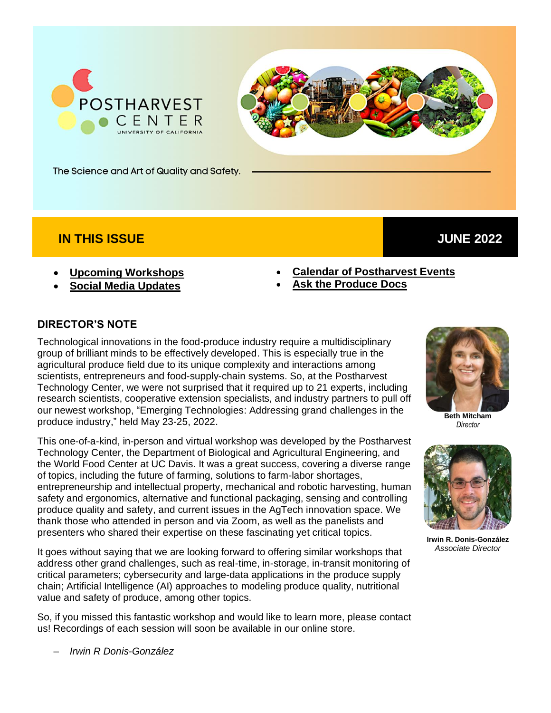



The Science and Art of Quality and Safety.

### **IN THIS ISSUE**

#### • **[Upcoming Workshops](#page-1-0)**

• **[Social Media](#page-2-0) Updates**

- **[Calendar of Postharvest Events](#page-3-0)**
- **[Ask the Produce Docs](#page-3-1)**

#### **DIRECTOR'S NOTE**

Technological innovations in the food-produce industry require a multidisciplinary group of brilliant minds to be effectively developed. This is especially true in the agricultural produce field due to its unique complexity and interactions among scientists, entrepreneurs and food-supply-chain systems. So, at the Postharvest Technology Center, we were not surprised that it required up to 21 experts, including research scientists, cooperative extension specialists, and industry partners to pull off our newest workshop, "Emerging Technologies: Addressing grand challenges in the produce industry," held May 23-25, 2022.

This one-of-a-kind, in-person and virtual workshop was developed by the Postharvest Technology Center, the Department of Biological and Agricultural Engineering, and the World Food Center at UC Davis. It was a great success, covering a diverse range of topics, including the future of farming, solutions to farm-labor shortages, entrepreneurship and intellectual property, mechanical and robotic harvesting, human safety and ergonomics, alternative and functional packaging, sensing and controlling produce quality and safety, and current issues in the AgTech innovation space. We thank those who attended in person and via Zoom, as well as the panelists and presenters who shared their expertise on these fascinating yet critical topics.

It goes without saying that we are looking forward to offering similar workshops that address other grand challenges, such as real-time, in-storage, in-transit monitoring of critical parameters; cybersecurity and large-data applications in the produce supply chain; Artificial Intelligence (AI) approaches to modeling produce quality, nutritional value and safety of produce, among other topics.

So, if you missed this fantastic workshop and would like to learn more, please contact us! Recordings of each session will soon be available in our online store.



 **JUNE 2022**

**Beth Mitcham** *Director*



**Irwin R. Donis-González** *Associate Director*

– *Irwin R Donis-González*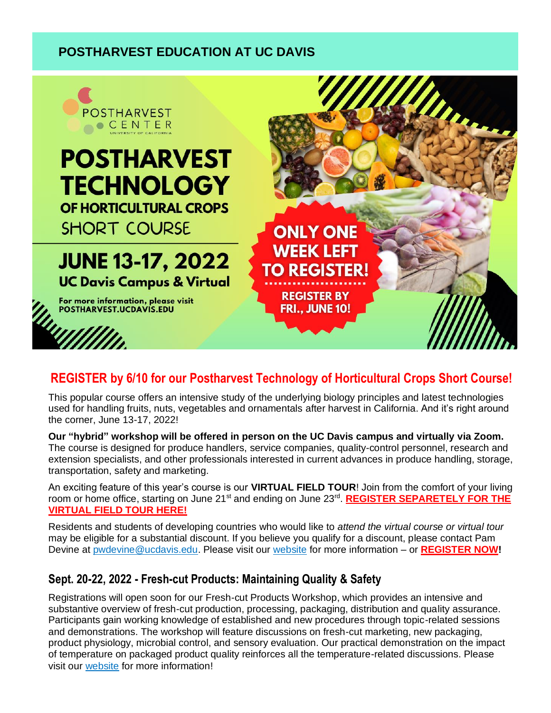# <span id="page-1-0"></span> **POSTHARVEST EDUCATION AT UC DAVIS**



# **REGISTER by 6/10 for our Postharvest Technology of Horticultural Crops Short Course!**

This popular course offers an intensive study of the underlying biology principles and latest technologies used for handling fruits, nuts, vegetables and ornamentals after harvest in California. And it's right around the corner, June 13-17, 2022!

**Our "hybrid" workshop will be offered in person on the UC Davis campus and virtually via Zoom.** The course is designed for produce handlers, service companies, quality-control personnel, research and extension specialists, and other professionals interested in current advances in produce handling, storage, transportation, safety and marketing.

An exciting feature of this year's course is our **VIRTUAL FIELD TOUR**! Join from the comfort of your living room or home office, starting on June 21<sup>st</sup> and ending on June 23<sup>rd</sup>. [REGISTER SEPARETELY FOR THE](https://registration.ucdavis.edu/Item/Details/711) **[VIRTUAL FIELD TOUR HERE!](https://registration.ucdavis.edu/Item/Details/711)**

Residents and students of developing countries who would like to *attend the virtual course or virtual tour* may be eligible for a substantial discount. If you believe you qualify for a discount, please contact Pam Devine at [pwdevine@ucdavis.edu.](mailto:pwdevine@ucdavis.edu) Please visit our [website](https://postharvest.ucdavis.edu/Workshops/Postharvest_Technology_of_Horticultural_Crops_Short_Course/) for more information – or **[REGISTER](https://registration.ucdavis.edu/Item/Details/800) NOW!**

### **Sept. 20-22, 2022 - Fresh-cut Products: Maintaining Quality & Safety**

Registrations will open soon for our Fresh-cut Products Workshop, which provides an intensive and substantive overview of fresh-cut production, processing, packaging, distribution and quality assurance. Participants gain working knowledge of established and new procedures through topic-related sessions and demonstrations. The workshop will feature discussions on fresh-cut marketing, new packaging, product physiology, microbial control, and sensory evaluation. Our practical demonstration on the impact of temperature on packaged product quality reinforces all the temperature-related discussions. Please visit our [website](https://postharvest.ucdavis.edu/Workshops/Postharvest_Technology_of_Horticultural_Crops_Short_Course/) for more information!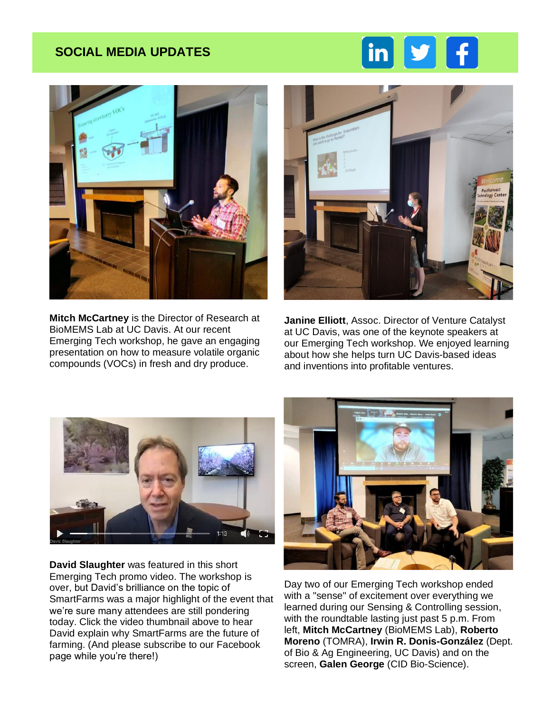## <span id="page-2-0"></span> **SOCIAL MEDIA UPDATES**





**Mitch McCartney** is the Director of Research at BioMEMS Lab at UC Davis. At our recent Emerging Tech workshop, he gave an engaging presentation on how to measure volatile organic compounds (VOCs) in fresh and dry produce.



**Janine Elliott**, Assoc. Director of Venture Catalyst at UC Davis, was one of the keynote speakers at our Emerging Tech workshop. We enjoyed learning about how she helps turn UC Davis-based ideas and inventions into profitable ventures.



**David Slaughter** was featured in this short Emerging Tech promo video. The workshop is over, but David's brilliance on the topic of SmartFarms was a major highlight of the event that we're sure many attendees are still pondering today. Click the video thumbnail above to hear David explain why SmartFarms are the future of farming. (And please subscribe to our Facebook page while you're there!)



Day two of our Emerging Tech workshop ended with a "sense" of excitement over everything we learned during our Sensing & Controlling session, with the roundtable lasting just past 5 p.m. From left, **Mitch McCartney** (BioMEMS Lab), **Roberto Moreno** (TOMRA), **Irwin R. Donis-González** (Dept. of Bio & Ag Engineering, UC Davis) and on the screen, **Galen George** (CID Bio-Science).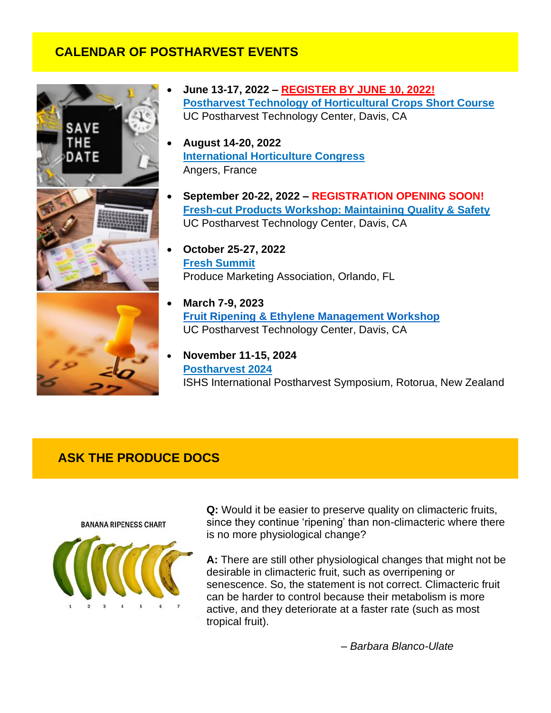## <span id="page-3-0"></span> **CALENDAR OF POSTHARVEST EVENTS**



- **June 13-17, 2022 – [REGISTER BY JUNE 10, 2022!](https://registration.ucdavis.edu/Item/Details/800) [Postharvest Technology of Horticultural Crops Short Course](http://postharvest.ucdavis.edu/Workshops/Postharvest_Technology_of_Horticultural_Crops_Short_Course/)** UC Postharvest Technology Center, Davis, CA
- **August 14-20, 2022 [International Horticulture](https://www.ihc2022.org/) Congress** Angers, France
- **September 20-22, 2022 – REGISTRATION OPENING SOON! [Fresh-cut Products Workshop: Maintaining Quality & Safety](https://postharvest.ucdavis.edu/Workshops/Fresh-cut_Products_Workshop__Maintaining_Quality_-_Safety/)** UC Postharvest Technology Center, Davis, CA
- **October 25-27, 2022 [Fresh Summit](https://10times.com/produce-marketing-association-fresh-summit)** Produce Marketing Association, Orlando, FL
- **March 7-9, 2023 [Fruit Ripening & Ethylene Management Workshop](https://postharvest.ucdavis.edu/Workshops/Fruit_Ripening_-_Ethylene_Management_342/)** UC Postharvest Technology Center, Davis, CA
- **November 11-15, 2024 [Postharvest 2024](https://www.scienceevents.co.nz/postharvest2024)** ISHS International Postharvest Symposium, Rotorua, New Zealand

### <span id="page-3-1"></span> **ASK THE PRODUCE DOCS**

**BANANA RIPENESS CHART** 



**Q:** Would it be easier to preserve quality on climacteric fruits, since they continue 'ripening' than non-climacteric where there is no more physiological change?

**A:** There are still other physiological changes that might not be desirable in climacteric fruit, such as overripening or senescence. So, the statement is not correct. Climacteric fruit can be harder to control because their metabolism is more active, and they deteriorate at a faster rate (such as most tropical fruit).

*– Barbara Blanco-Ulate*